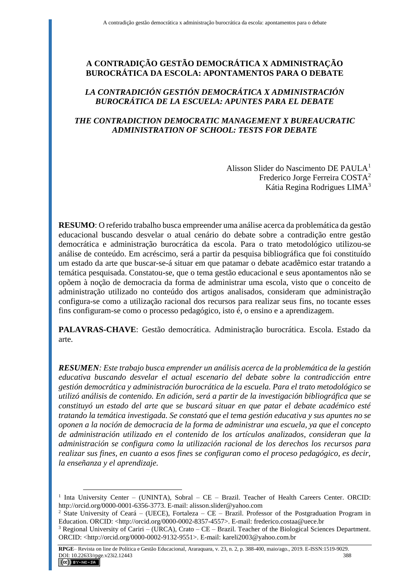# **A CONTRADIÇÃO GESTÃO DEMOCRÁTICA X ADMINISTRAÇÃO BUROCRÁTICA DA ESCOLA: APONTAMENTOS PARA O DEBATE**

## *LA CONTRADICIÓN GESTIÓN DEMOCRÁTICA X ADMINISTRACIÓN BUROCRÁTICA DE LA ESCUELA: APUNTES PARA EL DEBATE*

### *THE CONTRADICTION DEMOCRATIC MANAGEMENT X BUREAUCRATIC ADMINISTRATION OF SCHOOL: TESTS FOR DEBATE*

Alisson Slider do Nascimento DE PAULA<sup>1</sup> Frederico Jorge Ferreira COSTA<sup>2</sup> Kátia Regina Rodrigues LIMA<sup>3</sup>

**RESUMO**: O referido trabalho busca empreender uma análise acerca da problemática da gestão educacional buscando desvelar o atual cenário do debate sobre a contradição entre gestão democrática e administração burocrática da escola. Para o trato metodológico utilizou-se análise de conteúdo. Em acréscimo, será a partir da pesquisa bibliográfica que foi constituído um estado da arte que buscar-se-á situar em que patamar o debate acadêmico estar tratando a temática pesquisada. Constatou-se, que o tema gestão educacional e seus apontamentos não se opõem à noção de democracia da forma de administrar uma escola, visto que o conceito de administração utilizado no conteúdo dos artigos analisados, consideram que administração configura-se como a utilização racional dos recursos para realizar seus fins, no tocante esses fins configuram-se como o processo pedagógico, isto é, o ensino e a aprendizagem.

PALAVRAS-CHAVE: Gestão democrática. Administração burocrática. Escola. Estado da arte.

*RESUMEN: Este trabajo busca emprender un análisis acerca de la problemática de la gestión educativa buscando desvelar el actual escenario del debate sobre la contradicción entre gestión democrática y administración burocrática de la escuela. Para el trato metodológico se utilizó análisis de contenido. En adición, será a partir de la investigación bibliográfica que se constituyó un estado del arte que se buscará situar en que patar el debate académico esté tratando la temática investigada. Se constató que el tema gestión educativa y sus apuntes no se oponen a la noción de democracia de la forma de administrar una escuela, ya que el concepto de administración utilizado en el contenido de los artículos analizados, consideran que la administración se configura como la utilización racional de los derechos los recursos para realizar sus fines, en cuanto a esos fines se configuran como el proceso pedagógico, es decir, la enseñanza y el aprendizaje.*

 $\overline{a}$ 

<sup>&</sup>lt;sup>1</sup> Inta University Center – (UNINTA), Sobral – CE – Brazil. Teacher of Health Careers Center. ORCID: http://orcid.org/0000-0001-6356-3773. E-mail: alisson.slider@yahoo.com

<sup>&</sup>lt;sup>2</sup> State University of Ceará – (UECE), Fortaleza – CE – Brazil. Professor of the Postgraduation Program in Education. ORCID: <http://orcid.org/0000-0002-8357-4557>. E-mail: frederico.costaa@uece.br

<sup>&</sup>lt;sup>3</sup> Regional University of Cariri – (URCA), Crato – CE – Brazil. Teacher of the Biological Sciences Department. ORCID: <http://orcid.org/0000-0002-9132-9551>. E-mail: kareli2003@yahoo.com.br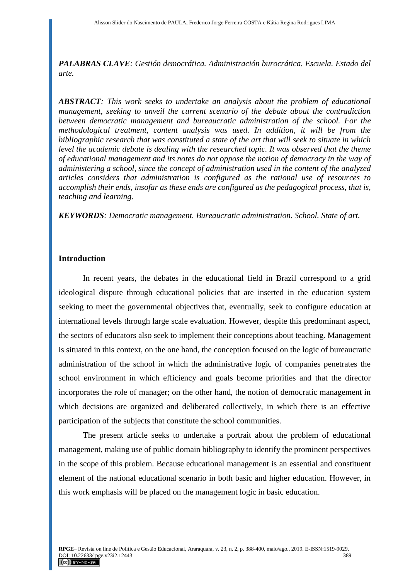*PALABRAS CLAVE: Gestión democrática. Administración burocrática. Escuela. Estado del arte.*

*ABSTRACT: This work seeks to undertake an analysis about the problem of educational management, seeking to unveil the current scenario of the debate about the contradiction between democratic management and bureaucratic administration of the school. For the methodological treatment, content analysis was used. In addition, it will be from the bibliographic research that was constituted a state of the art that will seek to situate in which level the academic debate is dealing with the researched topic. It was observed that the theme of educational management and its notes do not oppose the notion of democracy in the way of administering a school, since the concept of administration used in the content of the analyzed articles considers that administration is configured as the rational use of resources to accomplish their ends, insofar as these ends are configured as the pedagogical process, that is, teaching and learning.*

*KEYWORDS: Democratic management. Bureaucratic administration. School. State of art.*

#### **Introduction**

In recent years, the debates in the educational field in Brazil correspond to a grid ideological dispute through educational policies that are inserted in the education system seeking to meet the governmental objectives that, eventually, seek to configure education at international levels through large scale evaluation. However, despite this predominant aspect, the sectors of educators also seek to implement their conceptions about teaching. Management is situated in this context, on the one hand, the conception focused on the logic of bureaucratic administration of the school in which the administrative logic of companies penetrates the school environment in which efficiency and goals become priorities and that the director incorporates the role of manager; on the other hand, the notion of democratic management in which decisions are organized and deliberated collectively, in which there is an effective participation of the subjects that constitute the school communities.

The present article seeks to undertake a portrait about the problem of educational management, making use of public domain bibliography to identify the prominent perspectives in the scope of this problem. Because educational management is an essential and constituent element of the national educational scenario in both basic and higher education. However, in this work emphasis will be placed on the management logic in basic education.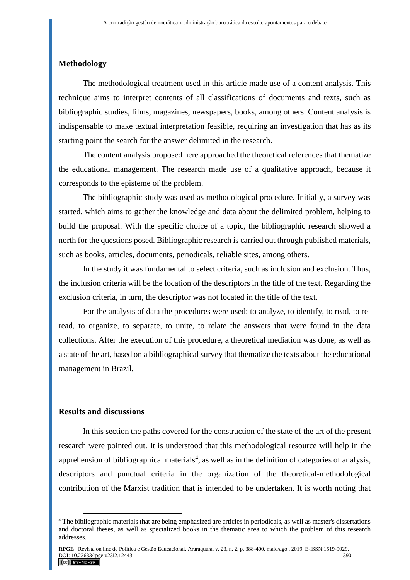## **Methodology**

The methodological treatment used in this article made use of a content analysis. This technique aims to interpret contents of all classifications of documents and texts, such as bibliographic studies, films, magazines, newspapers, books, among others. Content analysis is indispensable to make textual interpretation feasible, requiring an investigation that has as its starting point the search for the answer delimited in the research.

The content analysis proposed here approached the theoretical references that thematize the educational management. The research made use of a qualitative approach, because it corresponds to the episteme of the problem.

The bibliographic study was used as methodological procedure. Initially, a survey was started, which aims to gather the knowledge and data about the delimited problem, helping to build the proposal. With the specific choice of a topic, the bibliographic research showed a north for the questions posed. Bibliographic research is carried out through published materials, such as books, articles, documents, periodicals, reliable sites, among others.

In the study it was fundamental to select criteria, such as inclusion and exclusion. Thus, the inclusion criteria will be the location of the descriptors in the title of the text. Regarding the exclusion criteria, in turn, the descriptor was not located in the title of the text.

For the analysis of data the procedures were used: to analyze, to identify, to read, to reread, to organize, to separate, to unite, to relate the answers that were found in the data collections. After the execution of this procedure, a theoretical mediation was done, as well as a state of the art, based on a bibliographical survey that thematize the texts about the educational management in Brazil.

### **Results and discussions**

 $\overline{a}$ 

In this section the paths covered for the construction of the state of the art of the present research were pointed out. It is understood that this methodological resource will help in the apprehension of bibliographical materials<sup>4</sup>, as well as in the definition of categories of analysis, descriptors and punctual criteria in the organization of the theoretical-methodological contribution of the Marxist tradition that is intended to be undertaken. It is worth noting that

<sup>&</sup>lt;sup>4</sup> The bibliographic materials that are being emphasized are articles in periodicals, as well as master's dissertations and doctoral theses, as well as specialized books in the thematic area to which the problem of this research addresses.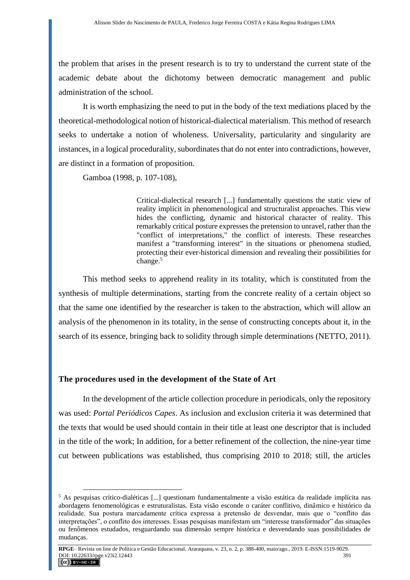the problem that arises in the present research is to try to understand the current state of the academic debate about the dichotomy between democratic management and public administration of the school.

It is worth emphasizing the need to put in the body of the text mediations placed by the theoretical-methodological notion of historical-dialectical materialism. This method of research seeks to undertake a notion of wholeness. Universality, particularity and singularity are instances, in a logical procedurality, subordinates that do not enter into contradictions, however, are distinct in a formation of proposition.

Gamboa (1998, p. 107-108),

Critical-dialectical research [...] fundamentally questions the static view of reality implicit in phenomenological and structuralist approaches. This view hides the conflicting, dynamic and historical character of reality. This remarkably critical posture expresses the pretension to unravel, rather than the "conflict of interpretations," the conflict of interests. These researches manifest a "transforming interest" in the situations or phenomena studied, protecting their ever-historical dimension and revealing their possibilities for change.<sup>5</sup>

This method seeks to apprehend reality in its totality, which is constituted from the synthesis of multiple determinations, starting from the concrete reality of a certain object so that the same one identified by the researcher is taken to the abstraction, which will allow an analysis of the phenomenon in its totality, in the sense of constructing concepts about it, in the search of its essence, bringing back to solidity through simple determinations (NETTO, 2011).

#### **The procedures used in the development of the State of Art**

 $\overline{a}$ 

In the development of the article collection procedure in periodicals, only the repository was used: *Portal Periódicos Capes*. As inclusion and exclusion criteria it was determined that the texts that would be used should contain in their title at least one descriptor that is included in the title of the work; In addition, for a better refinement of the collection, the nine-year time cut between publications was established, thus comprising 2010 to 2018; still, the articles

<sup>5</sup> As pesquisas crítico-dialéticas [...] questionam fundamentalmente a visão estática da realidade implícita nas abordagens fenomenológicas e estruturalistas. Esta visão esconde o caráter conflitivo, dinâmico e histórico da realidade. Sua postura marcadamente crítica expressa a pretensão de desvendar, mais que o "conflito das interpretações", o conflito dos interesses. Essas pesquisas manifestam um "interesse transformador" das situações ou fenômenos estudados, resguardando sua dimensão sempre histórica e desvendando suas possibilidades de mudanças.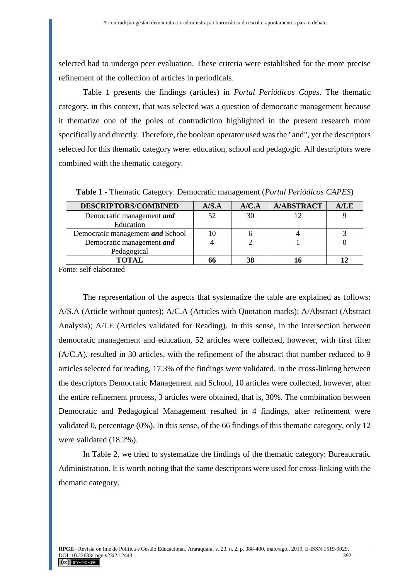selected had to undergo peer evaluation. These criteria were established for the more precise refinement of the collection of articles in periodicals.

Table 1 presents the findings (articles) in *Portal Periódicos Capes*. The thematic category, in this context, that was selected was a question of democratic management because it thematize one of the poles of contradiction highlighted in the present research more specifically and directly. Therefore, the boolean operator used was the "and", yet the descriptors selected for this thematic category were: education, school and pedagogic. All descriptors were combined with the thematic category.

| <b>DESCRIPTORS/COMBINED</b>              | A/S.A | A/C.A | <b>A/ABSTRACT</b> | A/LE |
|------------------------------------------|-------|-------|-------------------|------|
| Democratic management and<br>Education   |       | 30    |                   |      |
| Democratic management and School         |       |       |                   |      |
| Democratic management and<br>Pedagogical |       |       |                   |      |
|                                          |       | 38    |                   |      |

**Table 1 -** Thematic Category: Democratic management (*Portal Periódicos CAPES*)

Fonte: self-elaborated

The representation of the aspects that systematize the table are explained as follows: A/S.A (Article without quotes); A/C.A (Articles with Quotation marks); A/Abstract (Abstract Analysis); A/LE (Articles validated for Reading). In this sense, in the intersection between democratic management and education, 52 articles were collected, however, with first filter (A/C.A), resulted in 30 articles, with the refinement of the abstract that number reduced to 9 articles selected for reading, 17.3% of the findings were validated. In the cross-linking between the descriptors Democratic Management and School, 10 articles were collected, however, after the entire refinement process, 3 articles were obtained, that is, 30%. The combination between Democratic and Pedagogical Management resulted in 4 findings, after refinement were validated 0, percentage (0%). In this sense, of the 66 findings of this thematic category, only 12 were validated (18.2%).

In Table 2, we tried to systematize the findings of the thematic category: Bureaucratic Administration. It is worth noting that the same descriptors were used for cross-linking with the thematic category.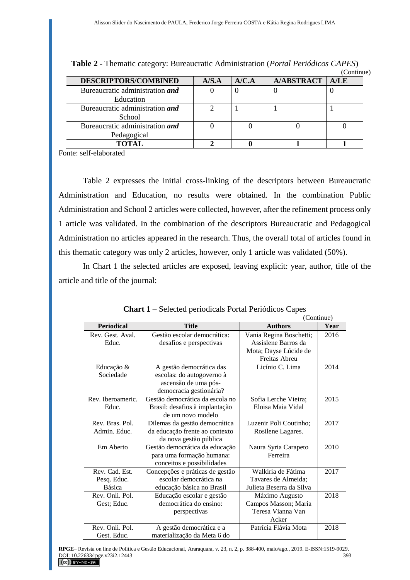|                                                |       |       |                   | Commune |
|------------------------------------------------|-------|-------|-------------------|---------|
| <b>DESCRIPTORS/COMBINED</b>                    | A/S.A | A/C.A | <b>A/ABSTRACT</b> | A/LE    |
| Bureaucratic administration and<br>Education   |       |       |                   |         |
| Bureaucratic administration and<br>School      |       |       |                   |         |
| Bureaucratic administration and<br>Pedagogical |       |       |                   |         |
| TOTAL                                          |       |       |                   |         |

**Table 2 -** Thematic category: Bureaucratic Administration (*Portal Periódicos CAPES*) (Continue)

Fonte: self-elaborated

Table 2 expresses the initial cross-linking of the descriptors between Bureaucratic Administration and Education, no results were obtained. In the combination Public Administration and School 2 articles were collected, however, after the refinement process only 1 article was validated. In the combination of the descriptors Bureaucratic and Pedagogical Administration no articles appeared in the research. Thus, the overall total of articles found in this thematic category was only 2 articles, however, only 1 article was validated (50%).

In Chart 1 the selected articles are exposed, leaving explicit: year, author, title of the article and title of the journal:

|                                         | $\mathbf{m}$ $\mathbf{r}$ $\mathbf{r}$ belocied perfoments I often I effected expension<br>(Continue)    |                                                                                          |      |  |  |
|-----------------------------------------|----------------------------------------------------------------------------------------------------------|------------------------------------------------------------------------------------------|------|--|--|
| <b>Periodical</b>                       | <b>Title</b>                                                                                             | <b>Authors</b>                                                                           | Year |  |  |
| Rev. Gest. Aval.<br>Educ.               | Gestão escolar democrática:<br>desafios e perspectivas                                                   | Vania Regina Boschetti;<br>Assislene Barros da<br>Mota; Dayse Lúcide de<br>Freitas Abreu | 2016 |  |  |
| Educação &<br>Sociedade                 | A gestão democrática das<br>escolas: do autogoverno à<br>ascensão de uma pós-<br>democracia gestionária? | Licínio C. Lima                                                                          | 2014 |  |  |
| Rev. Iberoameric.<br>Educ.              | Gestão democrática da escola no<br>Brasil: desafios à implantação<br>de um novo modelo                   | Sofia Lerche Vieira;<br>Eloisa Maia Vidal                                                | 2015 |  |  |
| Rev. Bras. Pol.<br>Admin. Educ.         | Dilemas da gestão democrática<br>da educação frente ao contexto<br>da nova gestão pública                | Luzenir Poli Coutinho;<br>Rosilene Lagares.                                              | 2017 |  |  |
| Em Aberto                               | Gestão democrática da educação<br>para uma formação humana:<br>conceitos e possibilidades                | Naura Syria Carapeto<br>Ferreira                                                         | 2010 |  |  |
| Rev. Cad. Est.<br>Pesq. Educ.<br>Básica | Concepções e práticas de gestão<br>escolar democrática na<br>educação básica no Brasil                   | Walkiria de Fátima<br>Tavares de Almeida;<br>Julieta Beserra da Silva                    | 2017 |  |  |
| Rev. Onli. Pol.<br>Gest; Educ.          | Educação escolar e gestão<br>democrática do ensino:<br>perspectivas                                      | Máximo Augusto<br>Campos Masson; Maria<br>Teresa Vianna Van<br>Acker                     | 2018 |  |  |
| Rev. Onli. Pol.<br>Gest. Educ.          | A gestão democrática e a<br>materialização da Meta 6 do                                                  | Patrícia Flávia Mota                                                                     | 2018 |  |  |

**Chart 1** – Selected periodicals Portal Periódicos Capes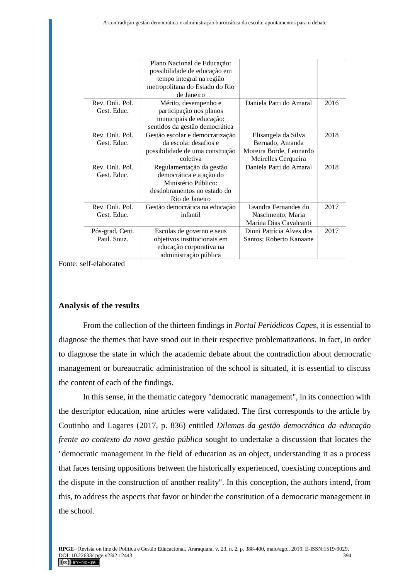|                 | Plano Nacional de Educação:     |                          |      |
|-----------------|---------------------------------|--------------------------|------|
|                 | possibilidade de educação em    |                          |      |
|                 | tempo integral na região        |                          |      |
|                 | metropolitana do Estado do Rio  |                          |      |
|                 | de Janeiro                      |                          |      |
| Rev. Onli. Pol. | Mérito, desempenho e            | Daniela Patti do Amaral  | 2016 |
| Gest. Educ.     | participação nos planos         |                          |      |
|                 | municipais de educação:         |                          |      |
|                 | sentidos da gestão democrática  |                          |      |
| Rev. Onli. Pol. | Gestão escolar e democratização | Elisangela da Silva      | 2018 |
| Gest. Educ.     | da escola: desafios e           | Bernado, Amanda          |      |
|                 | possibilidade de uma construção | Moreira Borde, Leonardo  |      |
|                 | coletiva                        | Meirelles Cerqueira      |      |
| Rev. Onli. Pol. | Regulamentação da gestão        | Daniela Patti do Amaral  | 2018 |
| Gest. Educ.     | democrática e a ação do         |                          |      |
|                 | Ministério Público:             |                          |      |
|                 | desdobramentos no estado do     |                          |      |
|                 | Rio de Janeiro                  |                          |      |
| Rev. Onli. Pol. | Gestão democrática na educação  | Leandra Fernandes do     | 2017 |
| Gest. Educ.     | infantil                        | Nascimento; Maria        |      |
|                 |                                 | Marina Dias Cavalcanti   |      |
| Pós-grad, Cent. | Escolas de governo e seus       | Dioni Patrícia Alves dos | 2017 |
| Paul. Souz.     | objetivos institucionais em     | Santos; Roberto Kanaane  |      |
|                 | educação corporativa na         |                          |      |
|                 | administração pública           |                          |      |

Fonte: self-elaborated

#### **Analysis of the results**

From the collection of the thirteen findings in *Portal Periódicos Capes*, it is essential to diagnose the themes that have stood out in their respective problematizations. In fact, in order to diagnose the state in which the academic debate about the contradiction about democratic management or bureaucratic administration of the school is situated, it is essential to discuss the content of each of the findings.

In this sense, in the thematic category "democratic management", in its connection with the descriptor education, nine articles were validated. The first corresponds to the article by Coutinho and Lagares (2017, p. 836) entitled *Dilemas da gestão democrática da educação frente ao contexto da nova gestão pública* sought to undertake a discussion that locates the "democratic management in the field of education as an object, understanding it as a process that faces tensing oppositions between the historically experienced, coexisting conceptions and the dispute in the construction of another reality". In this conception, the authors intend, from this, to address the aspects that favor or hinder the constitution of a democratic management in the school.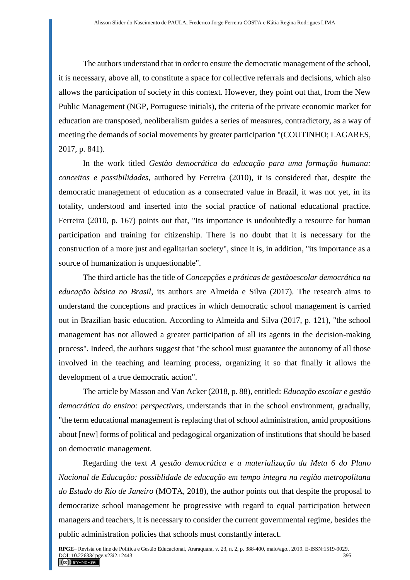The authors understand that in order to ensure the democratic management of the school, it is necessary, above all, to constitute a space for collective referrals and decisions, which also allows the participation of society in this context. However, they point out that, from the New Public Management (NGP, Portuguese initials), the criteria of the private economic market for education are transposed, neoliberalism guides a series of measures, contradictory, as a way of meeting the demands of social movements by greater participation "(COUTINHO; LAGARES, 2017, p. 841).

In the work titled *Gestão democrática da educação para uma formação humana: conceitos e possibilidades*, authored by Ferreira (2010), it is considered that, despite the democratic management of education as a consecrated value in Brazil, it was not yet, in its totality, understood and inserted into the social practice of national educational practice. Ferreira (2010, p. 167) points out that, "Its importance is undoubtedly a resource for human participation and training for citizenship. There is no doubt that it is necessary for the construction of a more just and egalitarian society", since it is, in addition, "its importance as a source of humanization is unquestionable".

The third article has the title of *Concepções e práticas de gestãoescolar democrática na educação básica no Brasil*, its authors are Almeida e Silva (2017). The research aims to understand the conceptions and practices in which democratic school management is carried out in Brazilian basic education. According to Almeida and Silva (2017, p. 121), "the school management has not allowed a greater participation of all its agents in the decision-making process". Indeed, the authors suggest that "the school must guarantee the autonomy of all those involved in the teaching and learning process, organizing it so that finally it allows the development of a true democratic action".

The article by Masson and Van Acker (2018, p. 88), entitled: *Educação escolar e gestão democrática do ensino: perspectivas*, understands that in the school environment, gradually, "the term educational management is replacing that of school administration, amid propositions about [new] forms of political and pedagogical organization of institutions that should be based on democratic management.

Regarding the text *A gestão democrática e a materialização da Meta 6 do Plano Nacional de Educação: possiblidade de educação em tempo integra na região metropolitana do Estado do Rio de Janeiro* (MOTA, 2018), the author points out that despite the proposal to democratize school management be progressive with regard to equal participation between managers and teachers, it is necessary to consider the current governmental regime, besides the public administration policies that schools must constantly interact.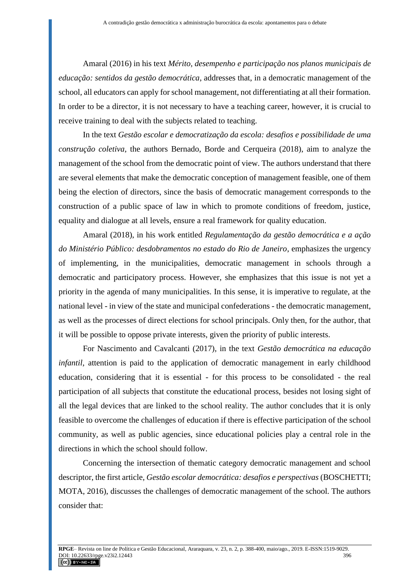Amaral (2016) in his text *Mérito, desempenho e participação nos planos municipais de educação: sentidos da gestão democrática*, addresses that, in a democratic management of the school, all educators can apply for school management, not differentiating at all their formation. In order to be a director, it is not necessary to have a teaching career, however, it is crucial to receive training to deal with the subjects related to teaching.

In the text *Gestão escolar e democratização da escola: desafios e possibilidade de uma construção coletiva*, the authors Bernado, Borde and Cerqueira (2018), aim to analyze the management of the school from the democratic point of view. The authors understand that there are several elements that make the democratic conception of management feasible, one of them being the election of directors, since the basis of democratic management corresponds to the construction of a public space of law in which to promote conditions of freedom, justice, equality and dialogue at all levels, ensure a real framework for quality education.

Amaral (2018), in his work entitled *Regulamentação da gestão democrática e a ação do Ministério Público: desdobramentos no estado do Rio de Janeiro*, emphasizes the urgency of implementing, in the municipalities, democratic management in schools through a democratic and participatory process. However, she emphasizes that this issue is not yet a priority in the agenda of many municipalities. In this sense, it is imperative to regulate, at the national level - in view of the state and municipal confederations - the democratic management, as well as the processes of direct elections for school principals. Only then, for the author, that it will be possible to oppose private interests, given the priority of public interests.

For Nascimento and Cavalcanti (2017), in the text *Gestão democrática na educação infantil*, attention is paid to the application of democratic management in early childhood education, considering that it is essential - for this process to be consolidated - the real participation of all subjects that constitute the educational process, besides not losing sight of all the legal devices that are linked to the school reality. The author concludes that it is only feasible to overcome the challenges of education if there is effective participation of the school community, as well as public agencies, since educational policies play a central role in the directions in which the school should follow.

Concerning the intersection of thematic category democratic management and school descriptor, the first article, *Gestão escolar democrática: desafios e perspectivas* (BOSCHETTI; MOTA, 2016), discusses the challenges of democratic management of the school. The authors consider that: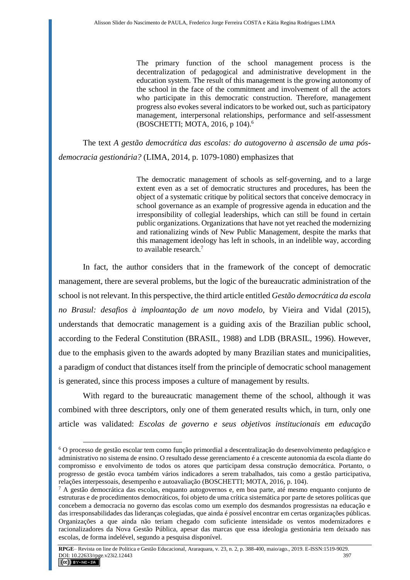The primary function of the school management process is the decentralization of pedagogical and administrative development in the education system. The result of this management is the growing autonomy of the school in the face of the commitment and involvement of all the actors who participate in this democratic construction. Therefore, management progress also evokes several indicators to be worked out, such as participatory management, interpersonal relationships, performance and self-assessment (BOSCHETTI; MOTA, 2016, p 104).<sup>6</sup>

The text *A gestão democrática das escolas: do autogoverno à ascensão de uma pósdemocracia gestionária?* (LIMA, 2014, p. 1079-1080) emphasizes that

> The democratic management of schools as self-governing, and to a large extent even as a set of democratic structures and procedures, has been the object of a systematic critique by political sectors that conceive democracy in school governance as an example of progressive agenda in education and the irresponsibility of collegial leaderships, which can still be found in certain public organizations. Organizations that have not yet reached the modernizing and rationalizing winds of New Public Management, despite the marks that this management ideology has left in schools, in an indelible way, according to available research.<sup>7</sup>

In fact, the author considers that in the framework of the concept of democratic management, there are several problems, but the logic of the bureaucratic administration of the school is not relevant. In this perspective, the third article entitled *Gestão democrática da escola no Brasul: desafios à imploantação de um novo modelo*, by Vieira and Vidal (2015), understands that democratic management is a guiding axis of the Brazilian public school, according to the Federal Constitution (BRASIL, 1988) and LDB (BRASIL, 1996). However, due to the emphasis given to the awards adopted by many Brazilian states and municipalities, a paradigm of conduct that distances itself from the principle of democratic school management is generated, since this process imposes a culture of management by results.

With regard to the bureaucratic management theme of the school, although it was combined with three descriptors, only one of them generated results which, in turn, only one article was validated: *Escolas de governo e seus objetivos institucionais em educação* 

 $\overline{a}$ 

<sup>6</sup> O processo de gestão escolar tem como função primordial a descentralização do desenvolvimento pedagógico e administrativo no sistema de ensino. O resultado desse gerenciamento é a crescente autonomia da escola diante do compromisso e envolvimento de todos os atores que participam dessa construção democrática. Portanto, o progresso de gestão evoca também vários indicadores a serem trabalhados, tais como a gestão participativa, relações interpessoais, desempenho e autoavaliação (BOSCHETTI; MOTA, 2016, p. 104).

 $7$  A gestão democrática das escolas, enquanto autogovernos e, em boa parte, até mesmo enquanto conjunto de estruturas e de procedimentos democráticos, foi objeto de uma crítica sistemática por parte de setores políticas que concebem a democracia no governo das escolas como um exemplo dos desmandos progressistas na educação e das irresponsabilidades das lideranças colegiadas, que ainda é possível encontrar em certas organizações públicas. Organizações a que ainda não teriam chegado com suficiente intensidade os ventos modernizadores e racionalizadores da Nova Gestão Pública, apesar das marcas que essa ideologia gestionária tem deixado nas escolas, de forma indelével, segundo a pesquisa disponível.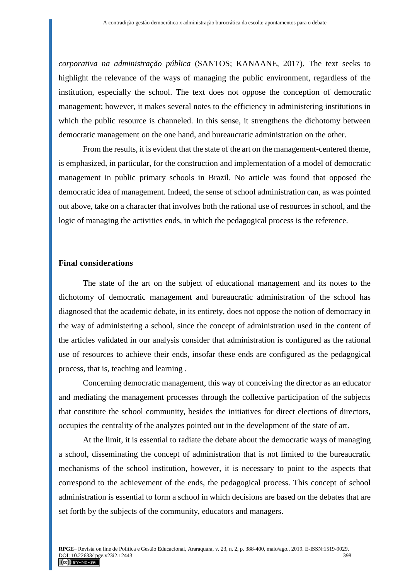*corporativa na administração pública* (SANTOS; KANAANE, 2017). The text seeks to highlight the relevance of the ways of managing the public environment, regardless of the institution, especially the school. The text does not oppose the conception of democratic management; however, it makes several notes to the efficiency in administering institutions in which the public resource is channeled. In this sense, it strengthens the dichotomy between democratic management on the one hand, and bureaucratic administration on the other.

From the results, it is evident that the state of the art on the management-centered theme, is emphasized, in particular, for the construction and implementation of a model of democratic management in public primary schools in Brazil. No article was found that opposed the democratic idea of management. Indeed, the sense of school administration can, as was pointed out above, take on a character that involves both the rational use of resources in school, and the logic of managing the activities ends, in which the pedagogical process is the reference.

### **Final considerations**

The state of the art on the subject of educational management and its notes to the dichotomy of democratic management and bureaucratic administration of the school has diagnosed that the academic debate, in its entirety, does not oppose the notion of democracy in the way of administering a school, since the concept of administration used in the content of the articles validated in our analysis consider that administration is configured as the rational use of resources to achieve their ends, insofar these ends are configured as the pedagogical process, that is, teaching and learning .

Concerning democratic management, this way of conceiving the director as an educator and mediating the management processes through the collective participation of the subjects that constitute the school community, besides the initiatives for direct elections of directors, occupies the centrality of the analyzes pointed out in the development of the state of art.

At the limit, it is essential to radiate the debate about the democratic ways of managing a school, disseminating the concept of administration that is not limited to the bureaucratic mechanisms of the school institution, however, it is necessary to point to the aspects that correspond to the achievement of the ends, the pedagogical process. This concept of school administration is essential to form a school in which decisions are based on the debates that are set forth by the subjects of the community, educators and managers.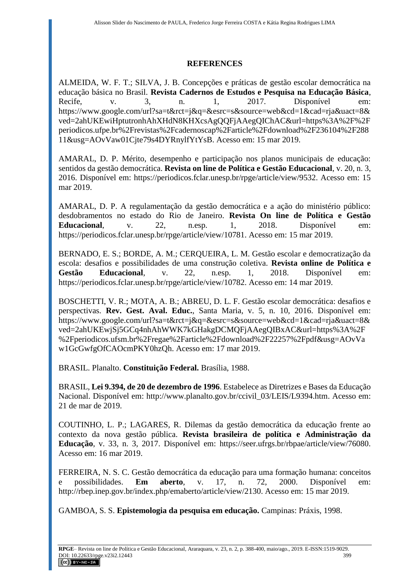## **REFERENCES**

ALMEIDA, W. F. T.; SILVA, J. B. Concepções e práticas de gestão escolar democrática na educação básica no Brasil. **Revista Cadernos de Estudos e Pesquisa na Educação Básica**, Recife, v. 3, n. 1, 2017. Disponível em: https://www.google.com/url?sa=t&rct=j&q=&esrc=s&source=web&cd=1&cad=rja&uact=8& ved=2ahUKEwiHptutronhAhXHdN8KHXcsAgQQFjAAegQIChAC&url=https%3A%2F%2F periodicos.ufpe.br%2Frevistas%2Fcadernoscap%2Farticle%2Fdownload%2F236104%2F288 11&usg=AOvVaw01Cjte79s4DYRnylfYtYsB. Acesso em: 15 mar 2019.

AMARAL, D. P. Mérito, desempenho e participação nos planos municipais de educação: sentidos da gestão democrática. **Revista on line de Política e Gestão Educacional**, v. 20, n. 3, 2016. Disponível em: https://periodicos.fclar.unesp.br/rpge/article/view/9532. Acesso em: 15 mar 2019.

AMARAL, D. P. A regulamentação da gestão democrática e a ação do ministério público: desdobramentos no estado do Rio de Janeiro. **Revista On line de Política e Gestão Educacional**, v. 22, n.esp. 1, 2018. Disponível em: https://periodicos.fclar.unesp.br/rpge/article/view/10781. Acesso em: 15 mar 2019.

BERNADO, E. S.; BORDE, A. M.; CERQUEIRA, L. M. Gestão escolar e democratização da escola: desafios e possibilidades de uma construção coletiva. **Revista online de Política e Gestão Educacional**, v. 22, n.esp. 1, 2018. Disponível em: https://periodicos.fclar.unesp.br/rpge/article/view/10782. Acesso em: 14 mar 2019.

BOSCHETTI, V. R.; MOTA, A. B.; ABREU, D. L. F. Gestão escolar democrática: desafios e perspectivas. **Rev. Gest. Aval. Educ.**, Santa Maria, v. 5, n. 10, 2016. Disponível em: https://www.google.com/url?sa=t&rct=j&q=&esrc=s&source=web&cd=1&cad=rja&uact=8& ved=2ahUKEwjSj5GCq4nhAhWWK7kGHakgDCMQFjAAegQIBxAC&url=https%3A%2F %2Fperiodicos.ufsm.br%2Fregae%2Farticle%2Fdownload%2F22257%2Fpdf&usg=AOvVa w1GcGwfgOfCAOcmPKY0hzQh. Acesso em: 17 mar 2019.

BRASIL. Planalto. **Constituição Federal.** Brasília, 1988.

BRASIL, **Lei 9.394, de 20 de dezembro de 1996**. Estabelece as Diretrizes e Bases da Educação Nacional. Disponível em: http://www.planalto.gov.br/ccivil 03/LEIS/L9394.htm. Acesso em: 21 de mar de 2019.

COUTINHO, L. P.; LAGARES, R. Dilemas da gestão democrática da educação frente ao contexto da nova gestão pública. **Revista brasileira de política e Administração da Educação**, v. 33, n. 3, 2017. Disponível em: https://seer.ufrgs.br/rbpae/article/view/76080. Acesso em: 16 mar 2019.

FERREIRA, N. S. C. Gestão democrática da educação para uma formação humana: conceitos e possibilidades. **Em aberto**, v. 17, n. 72, 2000. Disponível em: http://rbep.inep.gov.br/index.php/emaberto/article/view/2130. Acesso em: 15 mar 2019.

GAMBOA, S. S. **Epistemologia da pesquisa em educação.** Campinas: Práxis, 1998.